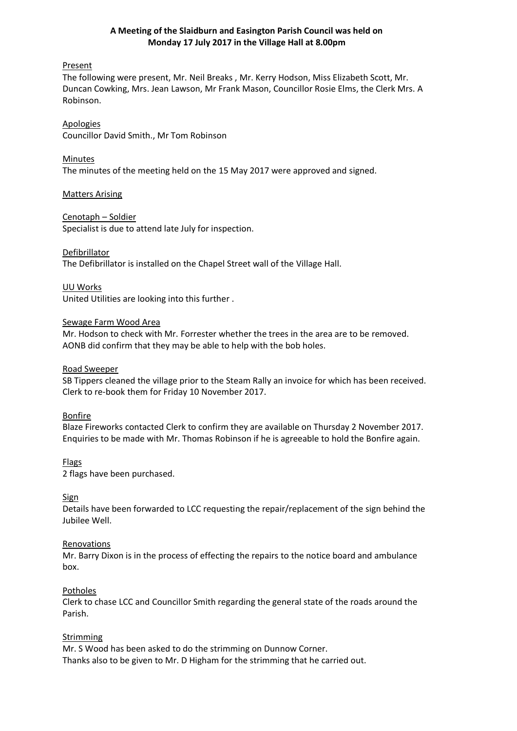# **A Meeting of the Slaidburn and Easington Parish Council was held on Monday 17 July 2017 in the Village Hall at 8.00pm**

### Present

The following were present, Mr. Neil Breaks , Mr. Kerry Hodson, Miss Elizabeth Scott, Mr. Duncan Cowking, Mrs. Jean Lawson, Mr Frank Mason, Councillor Rosie Elms, the Clerk Mrs. A Robinson.

Apologies Councillor David Smith., Mr Tom Robinson

Minutes The minutes of the meeting held on the 15 May 2017 were approved and signed.

Matters Arising

Cenotaph – Soldier Specialist is due to attend late July for inspection.

# Defibrillator

The Defibrillator is installed on the Chapel Street wall of the Village Hall.

UU Works United Utilities are looking into this further .

# Sewage Farm Wood Area

Mr. Hodson to check with Mr. Forrester whether the trees in the area are to be removed. AONB did confirm that they may be able to help with the bob holes.

### Road Sweeper

SB Tippers cleaned the village prior to the Steam Rally an invoice for which has been received. Clerk to re-book them for Friday 10 November 2017.

### Bonfire

Blaze Fireworks contacted Clerk to confirm they are available on Thursday 2 November 2017. Enquiries to be made with Mr. Thomas Robinson if he is agreeable to hold the Bonfire again.

Flags

2 flags have been purchased.

### **Sign**

Details have been forwarded to LCC requesting the repair/replacement of the sign behind the Jubilee Well.

### **Renovations**

Mr. Barry Dixon is in the process of effecting the repairs to the notice board and ambulance box.

### **Potholes**

Clerk to chase LCC and Councillor Smith regarding the general state of the roads around the Parish.

### Strimming

Mr. S Wood has been asked to do the strimming on Dunnow Corner. Thanks also to be given to Mr. D Higham for the strimming that he carried out.